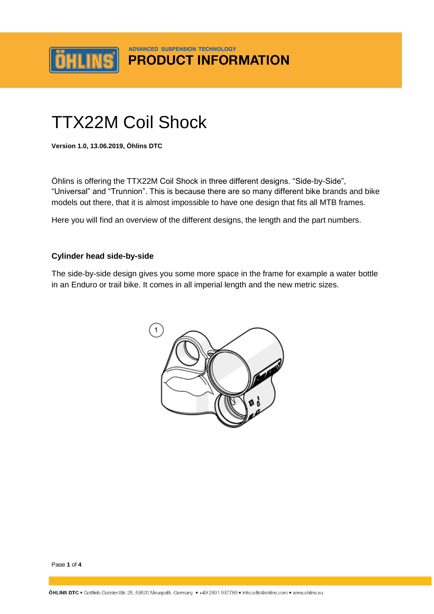

## **ADVANCED SUSPENSION TECHNOLOGY PRODUCT INFORMATION**

# TTX22M Coil Shock

**Version 1.0, 13.06.2019, Öhlins DTC**

Öhlins is offering the TTX22M Coil Shock in three different designs. "Side-by-Side", "Universal" and "Trunnion". This is because there are so many different bike brands and bike models out there, that it is almost impossible to have one design that fits all MTB frames.

Here you will find an overview of the different designs, the length and the part numbers.

#### **Cylinder head side-by-side**

The side-by-side design gives you some more space in the frame for example a water bottle in an Enduro or trail bike. It comes in all imperial length and the new metric sizes.



Page **1** of **4**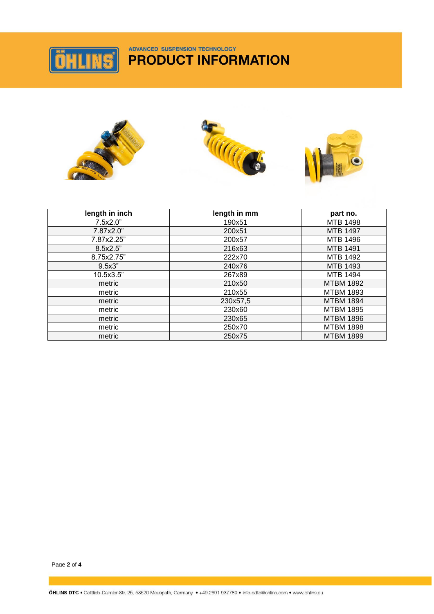

# ADVANCED SUSPENSION TECHNOLOGY **PRODUCT INFORMATION**



| length in inch | length in mm | part no.         |
|----------------|--------------|------------------|
| 7.5x2.0"       | 190x51       | <b>MTB 1498</b>  |
| 7.87x2.0"      | 200x51       | <b>MTB 1497</b>  |
| 7.87x2.25"     | 200x57       | MTB 1496         |
| 8.5x2.5"       | 216x63       | <b>MTB 1491</b>  |
| 8.75x2.75"     | 222x70       | MTB 1492         |
| 9.5x3"         | 240x76       | MTB 1493         |
| 10.5x3.5"      | 267x89       | <b>MTB 1494</b>  |
| metric         | 210x50       | <b>MTBM 1892</b> |
| metric         | 210x55       | <b>MTBM 1893</b> |
| metric         | 230x57,5     | <b>MTBM 1894</b> |
| metric         | 230x60       | <b>MTBM 1895</b> |
| metric         | 230x65       | <b>MTBM 1896</b> |
| metric         | 250x70       | <b>MTBM 1898</b> |
| metric         | 250x75       | <b>MTBM 1899</b> |

Page **2** of **4**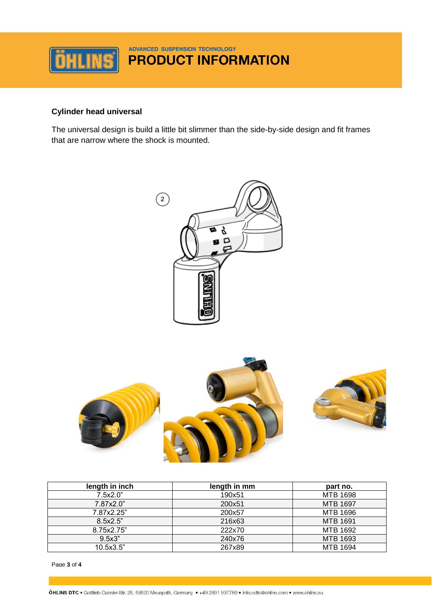

### **Cylinder head universal**

The universal design is build a little bit slimmer than the side-by-side design and fit frames that are narrow where the shock is mounted.





| length in inch | length in mm | part no.        |
|----------------|--------------|-----------------|
| 7.5x2.0"       | 190x51       | MTB 1698        |
| 7.87x2.0"      | 200x51       | <b>MTB 1697</b> |
| 7.87x2.25"     | 200x57       | MTB 1696        |
| 8.5x2.5"       | 216x63       | <b>MTB 1691</b> |
| 8.75x2.75"     | 222x70       | MTB 1692        |
| 9.5x3"         | 240x76       | MTB 1693        |
| 10.5x3.5"      | 267x89       | <b>MTB 1694</b> |

Page **3** of **4**